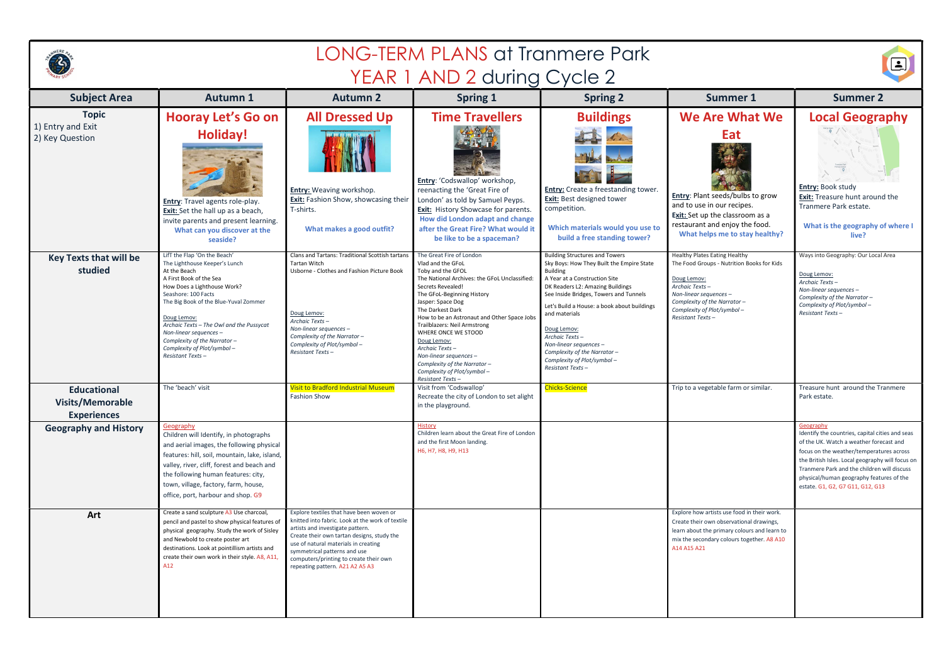|                                                                     | <b>LONG-TERM PLANS at Tranmere Park</b>                                                                                                                                                                                                                                                                                                                                          |                                                                                                                                                                                                                                                                                                                                     |                                                                                                                                                                                                                                                                                                                                                                                                                                                                      |                                                                                                                                                                                                                                                                                                                                                                                                                                  |                                                                                                                                                                                                                                       |                                                                                                                                                                                                                                                                                                                                        |
|---------------------------------------------------------------------|----------------------------------------------------------------------------------------------------------------------------------------------------------------------------------------------------------------------------------------------------------------------------------------------------------------------------------------------------------------------------------|-------------------------------------------------------------------------------------------------------------------------------------------------------------------------------------------------------------------------------------------------------------------------------------------------------------------------------------|----------------------------------------------------------------------------------------------------------------------------------------------------------------------------------------------------------------------------------------------------------------------------------------------------------------------------------------------------------------------------------------------------------------------------------------------------------------------|----------------------------------------------------------------------------------------------------------------------------------------------------------------------------------------------------------------------------------------------------------------------------------------------------------------------------------------------------------------------------------------------------------------------------------|---------------------------------------------------------------------------------------------------------------------------------------------------------------------------------------------------------------------------------------|----------------------------------------------------------------------------------------------------------------------------------------------------------------------------------------------------------------------------------------------------------------------------------------------------------------------------------------|
|                                                                     |                                                                                                                                                                                                                                                                                                                                                                                  |                                                                                                                                                                                                                                                                                                                                     | YEAR 1 AND 2 during Cycle 2                                                                                                                                                                                                                                                                                                                                                                                                                                          |                                                                                                                                                                                                                                                                                                                                                                                                                                  |                                                                                                                                                                                                                                       | <u>اخ</u>                                                                                                                                                                                                                                                                                                                              |
| <b>Subject Area</b>                                                 | <b>Autumn 1</b>                                                                                                                                                                                                                                                                                                                                                                  | <b>Autumn 2</b>                                                                                                                                                                                                                                                                                                                     | <b>Spring 1</b>                                                                                                                                                                                                                                                                                                                                                                                                                                                      | <b>Spring 2</b>                                                                                                                                                                                                                                                                                                                                                                                                                  | <b>Summer 1</b>                                                                                                                                                                                                                       | <b>Summer 2</b>                                                                                                                                                                                                                                                                                                                        |
| <b>Topic</b><br>1) Entry and Exit<br>2) Key Question                | <b>Hooray Let's Go on</b><br><b>Holiday!</b><br><b>Entry:</b> Travel agents role-play.<br><b>Exit:</b> Set the hall up as a beach,<br>invite parents and present learning.<br>What can you discover at the<br>seaside?                                                                                                                                                           | <b>All Dressed Up</b><br><b>Entry:</b> Weaving workshop.<br>Exit: Fashion Show, showcasing their<br>T-shirts.<br>What makes a good outfit?                                                                                                                                                                                          | <b>Time Travellers</b><br>Entry: 'Codswallop' workshop,<br>reenacting the 'Great Fire of<br>London' as told by Samuel Peyps.<br><b>Exit:</b> History Showcase for parents.<br>How did London adapt and change<br>after the Great Fire? What would it<br>be like to be a spaceman?                                                                                                                                                                                    | <b>Buildings</b><br><b>Entry:</b> Create a freestanding tower.<br><b>Exit:</b> Best designed tower<br>competition.<br>Which materials would you use to<br>build a free standing tower?                                                                                                                                                                                                                                           | <b>We Are What We</b><br>Eat<br>Entry: Plant seeds/bulbs to grow<br>and to use in our recipes.<br>Exit: Set up the classroom as a<br>restaurant and enjoy the food.<br>What helps me to stay healthy?                                 | <b>Local Geography</b><br>$\frac{1}{2}$<br>Entry: Book study<br>Exit: Treasure hunt around the<br>Tranmere Park estate.<br>What is the geography of where I<br>live?                                                                                                                                                                   |
| <b>Key Texts that will be</b><br>studied                            | LifT the Flap 'On the Beach'<br>The Lighthouse Keeper's Lunch<br>At the Beach<br>A First Book of the Sea<br>How Does a Lighthouse Work?<br>Seashore: 100 Facts<br>The Big Book of the Blue-Yuval Zommer<br>Doug Lemov:<br>Archaic Texts - The Owl and the Pussycat<br>Non-linear sequences $-$<br>Complexity of the Narrator -<br>Complexity of Plot/symbol-<br>Resistant Texts- | Clans and Tartans: Traditional Scottish tartans<br><b>Tartan Witch</b><br>Usborne - Clothes and Fashion Picture Book<br>Doug Lemov:<br>Archaic Texts-<br>Non-linear sequences -<br>Complexity of the Narrator-<br>Complexity of Plot/symbol-<br>Resistant Texts-                                                                    | The Great Fire of London<br>Vlad and the GFoL<br>Toby and the GFOL<br>The National Archives: the GFoL Unclassified:<br>Secrets Revealed!<br>The GFoL-Beginning History<br>Jasper: Space Dog<br>The Darkest Dark<br>How to be an Astronaut and Other Space Jobs<br>Trailblazers: Neil Armstrong<br>WHERE ONCE WE STOOD<br>Doug Lemov:<br>Archaic Texts-<br>Non-linear sequences $-$<br>Complexity of the Narrator -<br>Complexity of Plot/symbol-<br>Resistant Texts- | <b>Building Structures and Towers</b><br>Sky Boys: How They Built the Empire State<br><b>Building</b><br>A Year at a Construction Site<br>DK Readers L2: Amazing Buildings<br>See Inside Bridges, Towers and Tunnels<br>Let's Build a House: a book about buildings<br>and materials<br>Doug Lemov:<br>Archaic Texts-<br>Non-linear sequences -<br>Complexity of the Narrator-<br>Complexity of Plot/symbol-<br>Resistant Texts- | <b>Healthy Plates Eating Healthy</b><br>The Food Groups - Nutrition Books for Kids<br>Doug Lemov:<br>Archaic Texts-<br>Non-linear sequences -<br>Complexity of the Narrator-<br>Complexity of Plot/symbol-<br><b>Resistant Texts-</b> | Ways into Geography: Our Local Area<br>Doug Lemov:<br>Archaic Texts-<br>Non-linear sequences -<br>Complexity of the Narrator -<br>Complexity of Plot/symbol-<br><b>Resistant Texts-</b>                                                                                                                                                |
| <b>Educational</b><br><b>Visits/Memorable</b><br><b>Experiences</b> | The 'beach' visit                                                                                                                                                                                                                                                                                                                                                                | <b>Visit to Bradford Industrial Museum</b><br>Fashion Show                                                                                                                                                                                                                                                                          | Visit from 'Codswallop'<br>Recreate the city of London to set alight<br>in the playground.                                                                                                                                                                                                                                                                                                                                                                           | Chicks-Science                                                                                                                                                                                                                                                                                                                                                                                                                   | Trip to a vegetable farm or similar.                                                                                                                                                                                                  | Treasure hunt around the Tranmere<br>Park estate.                                                                                                                                                                                                                                                                                      |
| <b>Geography and History</b>                                        | Geography<br>Children will Identify, in photographs<br>and aerial images, the following physical<br>features: hill, soil, mountain, lake, island,<br>valley, river, cliff, forest and beach and<br>the following human features: city,<br>town, village, factory, farm, house,<br>office, port, harbour and shop. G9                                                             |                                                                                                                                                                                                                                                                                                                                     | <b>History</b><br>Children learn about the Great Fire of London<br>and the first Moon landing.<br>H6, H7, H8, H9, H13                                                                                                                                                                                                                                                                                                                                                |                                                                                                                                                                                                                                                                                                                                                                                                                                  |                                                                                                                                                                                                                                       | Geography<br>Identify the countries, capital cities and seas<br>of the UK. Watch a weather forecast and<br>focus on the weather/temperatures across<br>the British Isles. Local geography will focus on<br>Tranmere Park and the children will discuss<br>physical/human geography features of the<br>estate. G1, G2, G7 G11, G12, G13 |
| Art                                                                 | Create a sand sculpture A3 Use charcoal,<br>pencil and pastel to show physical features of<br>physical geography. Study the work of Sisley<br>and Newbold to create poster art<br>destinations. Look at pointillism artists and<br>create their own work in their style. A8, A11,<br>A12                                                                                         | Explore textiles that have been woven or<br>knitted into fabric. Look at the work of textile<br>artists and investigate pattern.<br>Create their own tartan designs, study the<br>use of natural materials in creating<br>symmetrical patterns and use<br>computers/printing to create their own<br>repeating pattern. A21 A2 A5 A3 |                                                                                                                                                                                                                                                                                                                                                                                                                                                                      |                                                                                                                                                                                                                                                                                                                                                                                                                                  | Explore how artists use food in their work.<br>Create their own observational drawings,<br>learn about the primary colours and learn to<br>mix the secondary colours together. A8 A10<br>A14 A15 A21                                  |                                                                                                                                                                                                                                                                                                                                        |

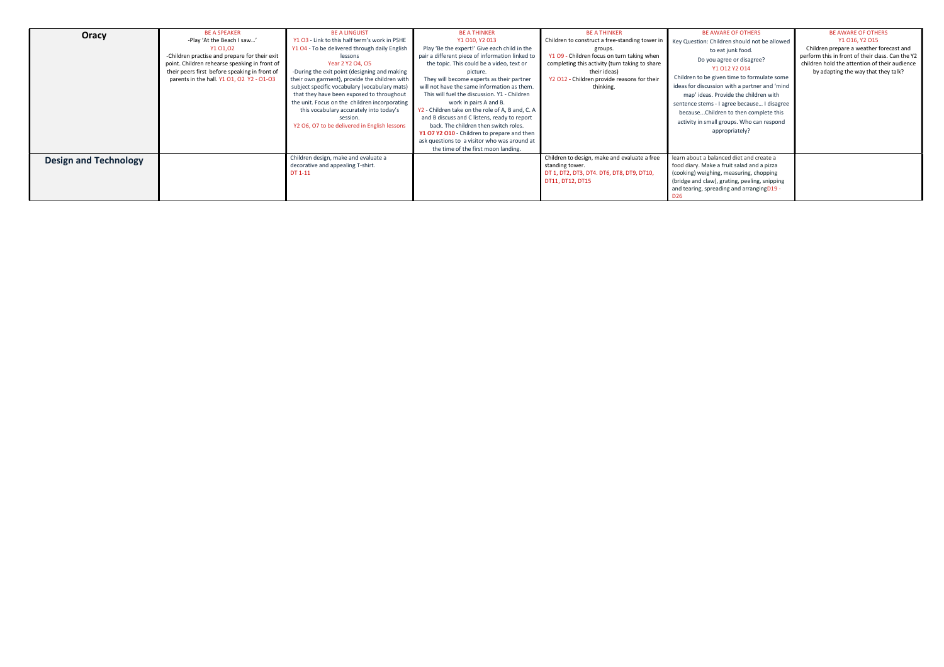| Oracy                        | <b>BE A SPEAKER</b><br>-Play 'At the Beach I saw'<br>Y1 01,02<br>-Children practise and prepare for their exit<br>point. Children rehearse speaking in front of<br>their peers first before speaking in front of<br>parents in the hall. Y1 01, 02 Y2 - 01-03 | <b>BE A LINGUIST</b><br>Y1 O3 - Link to this half term's work in PSHE<br>Y1 O4 - To be delivered through daily English<br>lessons<br>Year 2 Y2 O4, O5<br>-During the exit point (designing and making<br>their own garment), provide the children with<br>subject specific vocabulary (vocabulary mats)<br>that they have been exposed to throughout<br>the unit. Focus on the children incorporating<br>this vocabulary accurately into today's<br>session.<br>Y2 O6, O7 to be delivered in English lessons | <b>BE A THINKER</b><br>Y1 010, Y2 013<br>Play 'Be the expert!' Give each child in the<br>pair a different piece of information linked to<br>the topic. This could be a video, text or<br>picture.<br>They will become experts as their partner<br>will not have the same information as them.<br>This will fuel the discussion. Y1 - Children<br>work in pairs A and B.<br>Y2 - Children take on the role of A, B and, C. A<br>and B discuss and C listens, ready to report<br>back. The children then switch roles.<br>Y1 07 Y2 010 - Children to prepare and then<br>ask questions to a visitor who was around at<br>the time of the first moon landing. | <b>BE A THINKER</b><br>Children to construct a free-standing tower in<br>groups.<br>Y1 O9 - Children focus on turn taking when<br>completing this activity (turn taking to share<br>their ideas)<br>Y2 012 - Children provide reasons for their<br>thinking. | <b>BE AWARE OF OTHERS</b><br>Key Question: Children should not be allowed<br>to eat junk food.<br>Do you agree or disagree?<br>Y1 012 Y2 014<br>Children to be given time to formulate some<br>ideas for discussion with a partner and 'mind<br>map' ideas. Provide the children with<br>sentence stems - I agree because I disagree<br>becauseChildren to then complete this<br>activity in small groups. Who can respond<br>appropriately? | <b>BE AWARE OF OTHERS</b><br>Y1 016, Y2 015<br>Children prepare a weather forecast and<br>perform this in front of their class. Can the Y2<br>children hold the attention of their audience<br>by adapting the way that they talk? |
|------------------------------|---------------------------------------------------------------------------------------------------------------------------------------------------------------------------------------------------------------------------------------------------------------|--------------------------------------------------------------------------------------------------------------------------------------------------------------------------------------------------------------------------------------------------------------------------------------------------------------------------------------------------------------------------------------------------------------------------------------------------------------------------------------------------------------|------------------------------------------------------------------------------------------------------------------------------------------------------------------------------------------------------------------------------------------------------------------------------------------------------------------------------------------------------------------------------------------------------------------------------------------------------------------------------------------------------------------------------------------------------------------------------------------------------------------------------------------------------------|--------------------------------------------------------------------------------------------------------------------------------------------------------------------------------------------------------------------------------------------------------------|----------------------------------------------------------------------------------------------------------------------------------------------------------------------------------------------------------------------------------------------------------------------------------------------------------------------------------------------------------------------------------------------------------------------------------------------|------------------------------------------------------------------------------------------------------------------------------------------------------------------------------------------------------------------------------------|
| <b>Design and Technology</b> |                                                                                                                                                                                                                                                               | Children design, make and evaluate a<br>decorative and appealing T-shirt.<br>DT 1-11                                                                                                                                                                                                                                                                                                                                                                                                                         |                                                                                                                                                                                                                                                                                                                                                                                                                                                                                                                                                                                                                                                            | Children to design, make and evaluate a free<br>standing tower.<br>DT 1, DT2, DT3, DT4. DT6, DT8, DT9, DT10,<br>DT11, DT12, DT15                                                                                                                             | learn about a balanced diet and create a<br>food diary. Make a fruit salad and a pizza<br>(cooking) weighing, measuring, chopping<br>(bridge and claw), grating, peeling, snipping<br>and tearing, spreading and arrangingD19 -<br>D <sub>26</sub>                                                                                                                                                                                           |                                                                                                                                                                                                                                    |